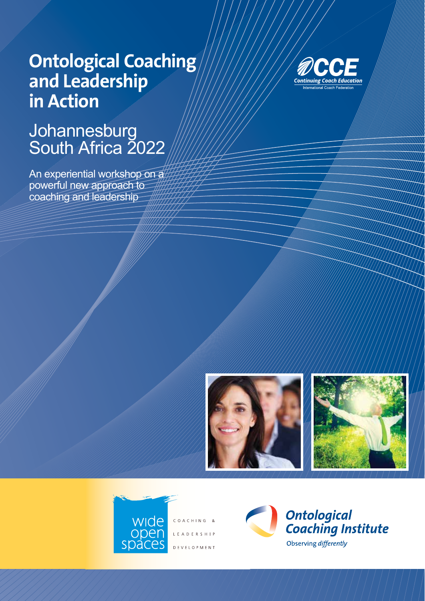# **Ontological Coaching and Leadership in Action**

## **Johannesburg** South Africa 2022

An experiential workshop on a powerful new approach to coaching and leadership







COACHING & L E A D E R S H I P **DEVELOPMENT** 

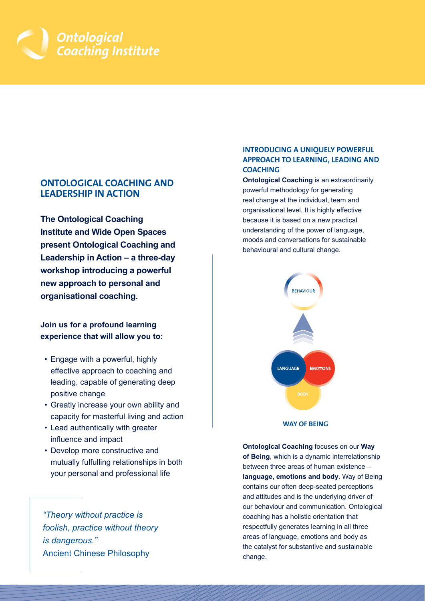

## **ONTOLOGICAL COACHING AND LEADERSHIP IN ACTION**

**The Ontological Coaching Institute and Wide Open Spaces present Ontological Coaching and Leadership in Action – a three-day workshop introducing a powerful new approach to personal and organisational coaching.**

**Join us for a profound learning experience that will allow you to:**

- Engage with a powerful, highly effective approach to coaching and leading, capable of generating deep positive change
- Greatly increase your own ability and capacity for masterful living and action
- Lead authentically with greater influence and impact
- Develop more constructive and mutually fulfulling relationships in both your personal and professional life

*"Theory without practice is foolish, practice without theory is dangerous."*  Ancient Chinese Philosophy

## **INTRODUCING A UNIQUELY POWERFUL APPROACH TO LEARNING, LEADING AND COACHING**

**Ontological Coaching** is an extraordinarily powerful methodology for generating real change at the individual, team and organisational level. It is highly effective because it is based on a new practical understanding of the power of language, moods and conversations for sustainable behavioural and cultural change.



**WAY OF BEING**

**Ontological Coaching** focuses on our **Way of Being**, which is a dynamic interrelationship between three areas of human existence – **language, emotions and body**. Way of Being contains our often deep-seated perceptions and attitudes and is the underlying driver of our behaviour and communication. Ontological coaching has a holistic orientation that respectfully generates learning in all three areas of language, emotions and body as the catalyst for substantive and sustainable change.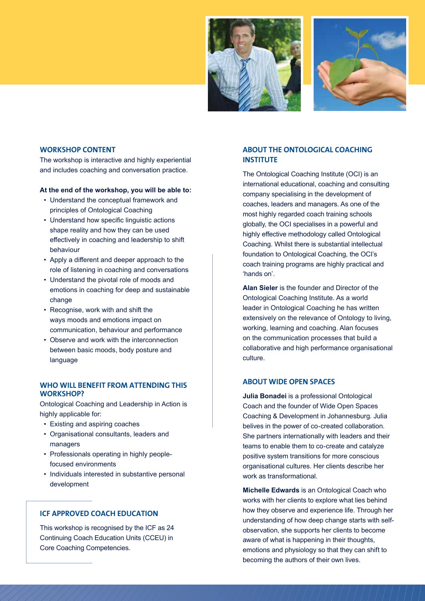



#### **WORKSHOP CONTENT**

The workshop is interactive and highly experiential and includes coaching and conversation practice.

#### **At the end of the workshop, you will be able to:**

- Understand the conceptual framework and principles of Ontological Coaching
- Understand how specific linguistic actions shape reality and how they can be used effectively in coaching and leadership to shift behaviour
- Apply a different and deeper approach to the role of listening in coaching and conversations
- Understand the pivotal role of moods and emotions in coaching for deep and sustainable change
- Recognise, work with and shift the ways moods and emotions impact on communication, behaviour and performance
- Observe and work with the interconnection between basic moods, body posture and language

### **WHO WILL BENEFIT FROM ATTENDING THIS WORKSHOP?**

Ontological Coaching and Leadership in Action is highly applicable for:

- Existing and aspiring coaches
- Organisational consultants, leaders and managers
- Professionals operating in highly peoplefocused environments
- Individuals interested in substantive personal development

## **ICF APPROVED COACH EDUCATION**

This workshop is recognised by the ICF as 24 Continuing Coach Education Units (CCEU) in Core Coaching Competencies.

## **ABOUT THE ONTOLOGICAL COACHING INSTITUTE**

The Ontological Coaching Institute (OCI) is an international educational, coaching and consulting company specialising in the development of coaches, leaders and managers. As one of the most highly regarded coach training schools globally, the OCI specialises in a powerful and highly effective methodology called Ontological Coaching. Whilst there is substantial intellectual foundation to Ontological Coaching, the OCI's coach training programs are highly practical and 'hands on'.

**Alan Sieler** is the founder and Director of the Ontological Coaching Institute. As a world leader in Ontological Coaching he has written extensively on the relevance of Ontology to living, working, learning and coaching. Alan focuses on the communication processes that build a collaborative and high performance organisational culture.

## **ABOUT WIDE OPEN SPACES**

**Julia Bonadei** is a professional Ontological Coach and the founder of Wide Open Spaces Coaching & Development in Johannesburg. Julia belives in the power of co-created collaboration. She partners internationally with leaders and their teams to enable them to co-create and catalyze positive system transitions for more conscious organisational cultures. Her clients describe her work as transformational.

**Michelle Edwards** is an Ontological Coach who works with her clients to explore what lies behind how they observe and experience life. Through her understanding of how deep change starts with selfobservation, she supports her clients to become aware of what is happening in their thoughts, emotions and physiology so that they can shift to becoming the authors of their own lives.